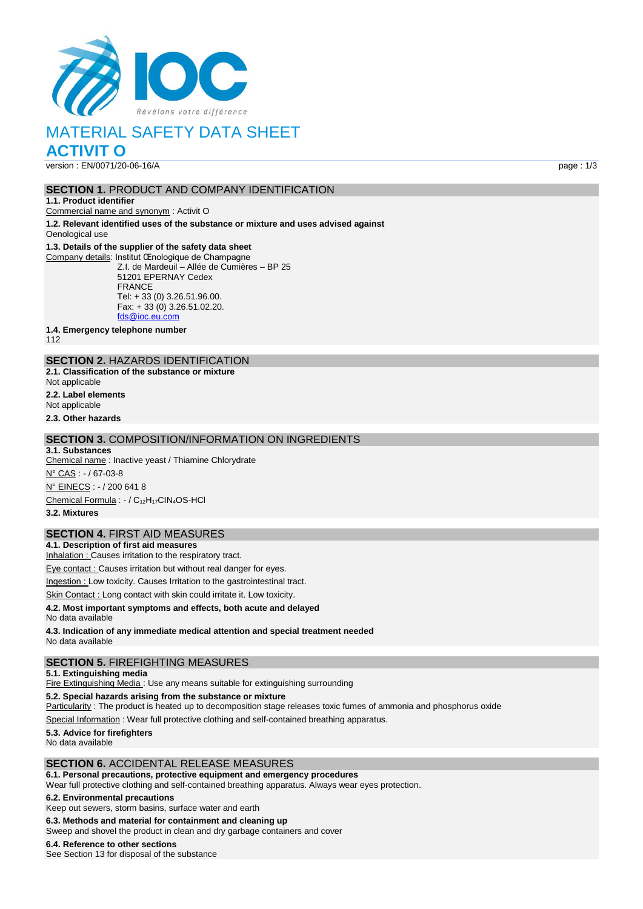

# MATERIAL SAFETY DATA SHEET

**ACTIVIT O**

version : EN/0071/20-06-16/A page : 1/3

### **SECTION 1.** PRODUCT AND COMPANY IDENTIFICATION

**1.1. Product identifier**

Commercial name and synonym : Activit O

**1.2. Relevant identified uses of the substance or mixture and uses advised against** Oenological use

#### **1.3. Details of the supplier of the safety data sheet**

Company details: Institut Œnologique de Champagne Z.I. de Mardeuil – Allée de Cumières – BP 25 51201 EPERNAY Cedex FRANCE Tel: + 33 (0) 3.26.51.96.00. Fax: + 33 (0) 3.26.51.02.20. [fds@ioc.eu.com](mailto:fds@ioc.eu.com)

**1.4. Emergency telephone number**

112

## **SECTION 2.** HAZARDS IDENTIFICATION

**2.1. Classification of the substance or mixture**

Not applicable

**2.2. Label elements**

Not applicable **2.3. Other hazards**

## **SECTION 3.** COMPOSITION/INFORMATION ON INGREDIENTS

**3.1. Substances** Chemical name : Inactive yeast / Thiamine Chlorydrate N° CAS : - / 67-03-8 N° EINECS : - / 200 641 8 Chemical Formula : - / C12H17CIN4OS-HCl

**3.2. Mixtures**

## **SECTION 4.** FIRST AID MEASURES

**4.1. Description of first aid measures** Inhalation : Causes irritation to the respiratory tract.

Eye contact : Causes irritation but without real danger for eyes.

Ingestion : Low toxicity. Causes Irritation to the gastrointestinal tract.

Skin Contact : Long contact with skin could irritate it. Low toxicity.

### **4.2. Most important symptoms and effects, both acute and delayed**

No data available

**4.3. Indication of any immediate medical attention and special treatment needed** No data available

## **SECTION 5.** FIREFIGHTING MEASURES

**5.1. Extinguishing media**

Fire Extinguishing Media : Use any means suitable for extinguishing surrounding

**5.2. Special hazards arising from the substance or mixture**

Particularity : The product is heated up to decomposition stage releases toxic fumes of ammonia and phosphorus oxide

Special Information : Wear full protective clothing and self-contained breathing apparatus.

## **5.3. Advice for firefighters**

No data available

## **SECTION 6.** ACCIDENTAL RELEASE MEASURES

**6.1. Personal precautions, protective equipment and emergency procedures**

Wear full protective clothing and self-contained breathing apparatus. Always wear eyes protection.

## **6.2. Environmental precautions**

Keep out sewers, storm basins, surface water and earth

**6.3. Methods and material for containment and cleaning up**

Sweep and shovel the product in clean and dry garbage containers and cover

## **6.4. Reference to other sections**

See Section 13 for disposal of the substance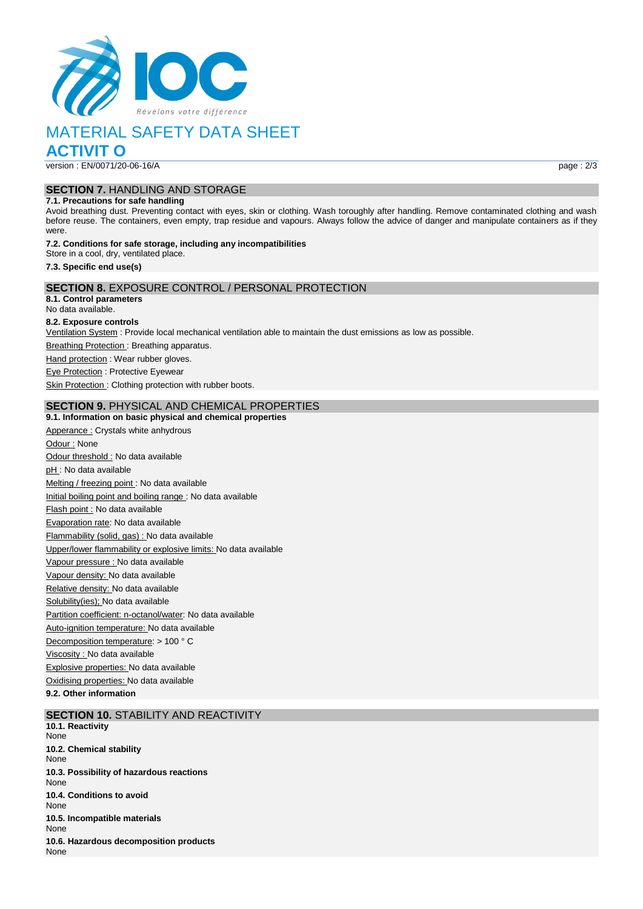

# MATERIAL SAFETY DATA SHEET

**ACTIVIT O**

version : EN/0071/20-06-16/A page : 2/3

### **SECTION 7.** HANDLING AND STORAGE

#### **7.1. Precautions for safe handling**

Avoid breathing dust. Preventing contact with eyes, skin or clothing. Wash toroughly after handling. Remove contaminated clothing and wash before reuse. The containers, even empty, trap residue and vapours. Always follow the advice of danger and manipulate containers as if they were.

#### **7.2. Conditions for safe storage, including any incompatibilities** Store in a cool, dry, ventilated place.

**7.3. Specific end use(s)**

## **SECTION 8.** EXPOSURE CONTROL / PERSONAL PROTECTION

**8.1. Control parameters**

## No data available.

#### **8.2. Exposure controls**

Ventilation System : Provide local mechanical ventilation able to maintain the dust emissions as low as possible.

**Breathing Protection: Breathing apparatus.** 

Hand protection : Wear rubber gloves.

Eye Protection : Protective Eyewear

Skin Protection : Clothing protection with rubber boots.

#### **SECTION 9.** PHYSICAL AND CHEMICAL PROPERTIES

#### **9.1. Information on basic physical and chemical properties**

Apperance : Crystals white anhydrous Odour : None Odour threshold : No data available pH : No data available Melting / freezing point : No data available Initial boiling point and boiling range : No data available Flash point : No data available Evaporation rate: No data available Flammability (solid, gas) : No data available Upper/lower flammability or explosive limits: No data available Vapour pressure : No data available Vapour density: No data available Relative density: No data available Solubility(ies); No data available Partition coefficient: n-octanol/water: No data available Auto-ignition temperature: No data available Decomposition temperature: > 100 ° C Viscosity : No data available Explosive properties: No data available Oxidising properties: No data available

**9.2. Other information**

## **SECTION 10. STABILITY AND REACTIVITY**

**10.1. Reactivity** None **10.2. Chemical stability** None **10.3. Possibility of hazardous reactions** None **10.4. Conditions to avoid** None **10.5. Incompatible materials None 10.6. Hazardous decomposition products** None